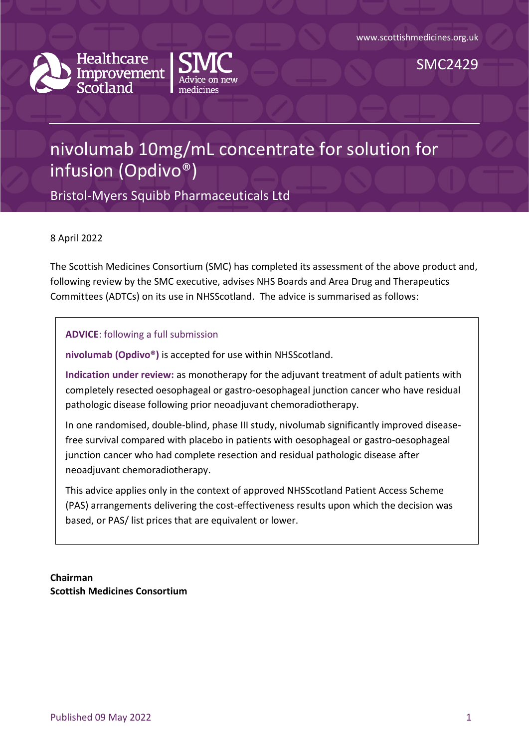



SMC2429

# nivolumab 10mg/mL concentrate for solution for infusion (Opdivo®)

Bristol-Myers Squibb Pharmaceuticals Ltd

8 April 2022

The Scottish Medicines Consortium (SMC) has completed its assessment of the above product and, following review by the SMC executive, advises NHS Boards and Area Drug and Therapeutics Committees (ADTCs) on its use in NHSScotland. The advice is summarised as follows:

**ADVICE**: following a full submission

**nivolumab (Opdivo®)** is accepted for use within NHSScotland.

**Indication under review:** as monotherapy for the adjuvant treatment of adult patients with completely resected oesophageal or gastro-oesophageal junction cancer who have residual pathologic disease following prior neoadjuvant chemoradiotherapy.

In one randomised, double-blind, phase III study, nivolumab significantly improved diseasefree survival compared with placebo in patients with oesophageal or gastro-oesophageal junction cancer who had complete resection and residual pathologic disease after neoadjuvant chemoradiotherapy.

This advice applies only in the context of approved NHSScotland Patient Access Scheme (PAS) arrangements delivering the cost-effectiveness results upon which the decision was based, or PAS/ list prices that are equivalent or lower.

**Chairman Scottish Medicines Consortium**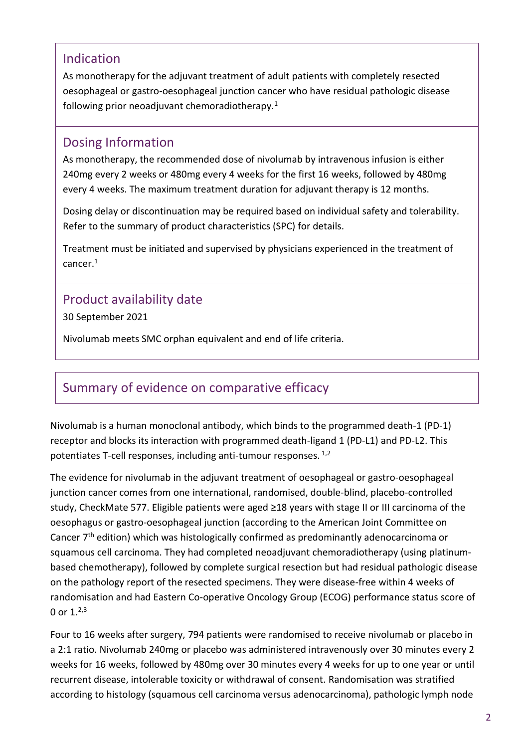#### Indication

As monotherapy for the adjuvant treatment of adult patients with completely resected oesophageal or gastro-oesophageal junction cancer who have residual pathologic disease following prior neoadjuvant chemoradiotherapy.<sup>1</sup>

#### Dosing Information

As monotherapy, the recommended dose of nivolumab by intravenous infusion is either 240mg every 2 weeks or 480mg every 4 weeks for the first 16 weeks, followed by 480mg every 4 weeks. The maximum treatment duration for adjuvant therapy is 12 months.

Dosing delay or discontinuation may be required based on individual safety and tolerability. Refer to the summary of product characteristics (SPC) for details.

Treatment must be initiated and supervised by physicians experienced in the treatment of cancer.<sup>1</sup>

### Product availability date

30 September 2021

Nivolumab meets SMC orphan equivalent and end of life criteria.

## Summary of evidence on comparative efficacy

Nivolumab is a human monoclonal antibody, which binds to the programmed death-1 (PD-1) receptor and blocks its interaction with programmed death-ligand 1 (PD-L1) and PD-L2. This potentiates T-cell responses, including anti-tumour responses. 1,2

The evidence for nivolumab in the adjuvant treatment of oesophageal or gastro-oesophageal junction cancer comes from one international, randomised, double-blind, placebo-controlled study, CheckMate 577. Eligible patients were aged ≥18 years with stage II or III carcinoma of the oesophagus or gastro-oesophageal junction (according to the American Joint Committee on Cancer 7<sup>th</sup> edition) which was histologically confirmed as predominantly adenocarcinoma or squamous cell carcinoma. They had completed neoadjuvant chemoradiotherapy (using platinumbased chemotherapy), followed by complete surgical resection but had residual pathologic disease on the pathology report of the resected specimens. They were disease-free within 4 weeks of randomisation and had Eastern Co-operative Oncology Group (ECOG) performance status score of 0 or  $1.^{2,3}$ 

Four to 16 weeks after surgery, 794 patients were randomised to receive nivolumab or placebo in a 2:1 ratio. Nivolumab 240mg or placebo was administered intravenously over 30 minutes every 2 weeks for 16 weeks, followed by 480mg over 30 minutes every 4 weeks for up to one year or until recurrent disease, intolerable toxicity or withdrawal of consent. Randomisation was stratified according to histology (squamous cell carcinoma versus adenocarcinoma), pathologic lymph node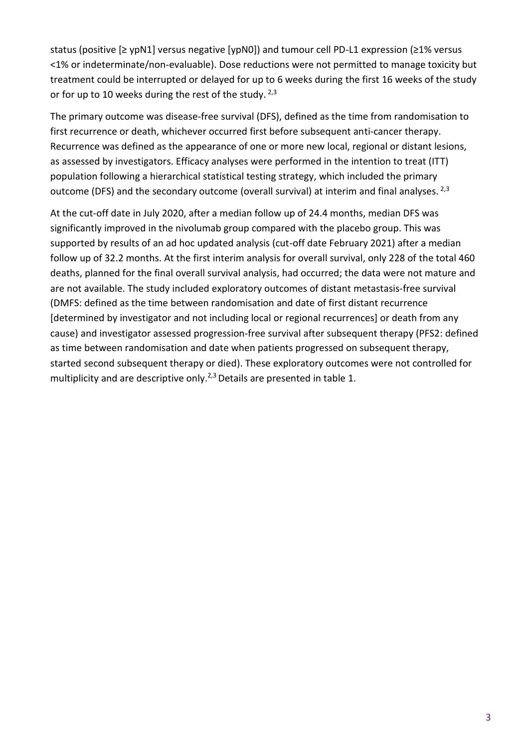status (positive [≥ ypN1] versus negative [ypN0]) and tumour cell PD-L1 expression (≥1% versus <1% or indeterminate/non-evaluable). Dose reductions were not permitted to manage toxicity but treatment could be interrupted or delayed for up to 6 weeks during the first 16 weeks of the study or for up to 10 weeks during the rest of the study.  $2,3$ 

The primary outcome was disease-free survival (DFS), defined as the time from randomisation to first recurrence or death, whichever occurred first before subsequent anti-cancer therapy. Recurrence was defined as the appearance of one or more new local, regional or distant lesions, as assessed by investigators. Efficacy analyses were performed in the intention to treat (ITT) population following a hierarchical statistical testing strategy, which included the primary outcome (DFS) and the secondary outcome (overall survival) at interim and final analyses. <sup>2,3</sup>

At the cut-off date in July 2020, after a median follow up of 24.4 months, median DFS was significantly improved in the nivolumab group compared with the placebo group. This was supported by results of an ad hoc updated analysis (cut-off date February 2021) after a median follow up of 32.2 months. At the first interim analysis for overall survival, only 228 of the total 460 deaths, planned for the final overall survival analysis, had occurred; the data were not mature and are not available. The study included exploratory outcomes of distant metastasis-free survival (DMFS: defined as the time between randomisation and date of first distant recurrence [determined by investigator and not including local or regional recurrences] or death from any cause) and investigator assessed progression-free survival after subsequent therapy (PFS2: defined as time between randomisation and date when patients progressed on subsequent therapy, started second subsequent therapy or died). These exploratory outcomes were not controlled for multiplicity and are descriptive only.<sup>2,3</sup> Details are presented in table 1.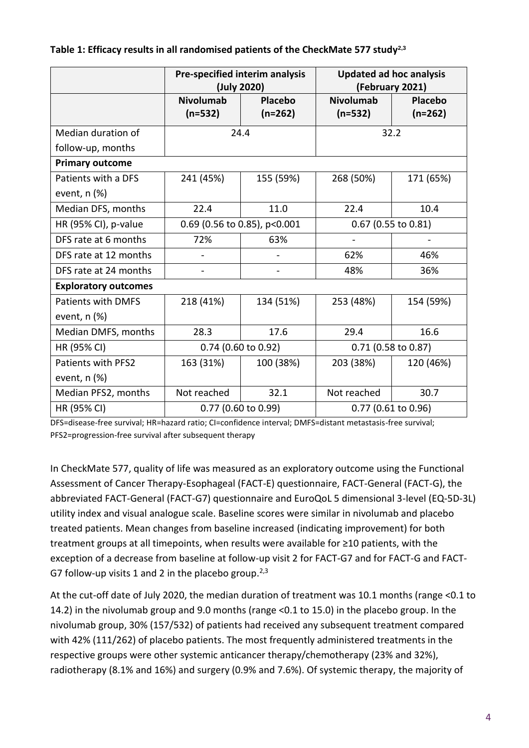|                             | Pre-specified interim analysis<br>(July 2020) |                      | <b>Updated ad hoc analysis</b><br>(February 2021) |                      |
|-----------------------------|-----------------------------------------------|----------------------|---------------------------------------------------|----------------------|
|                             | <b>Nivolumab</b><br>$(n=532)$                 | Placebo<br>$(n=262)$ | <b>Nivolumab</b><br>$(n=532)$                     | Placebo<br>$(n=262)$ |
| Median duration of          | 24.4                                          |                      | 32.2                                              |                      |
| follow-up, months           |                                               |                      |                                                   |                      |
| <b>Primary outcome</b>      |                                               |                      |                                                   |                      |
| Patients with a DFS         | 241 (45%)                                     | 155 (59%)            | 268 (50%)                                         | 171 (65%)            |
| event, $n$ $%$              |                                               |                      |                                                   |                      |
| Median DFS, months          | 22.4                                          | 11.0                 | 22.4                                              | 10.4                 |
| HR (95% CI), p-value        | 0.69 (0.56 to 0.85), p<0.001                  |                      | $0.67$ (0.55 to 0.81)                             |                      |
| DFS rate at 6 months        | 72%                                           | 63%                  |                                                   |                      |
| DFS rate at 12 months       |                                               | $\overline{a}$       | 62%                                               | 46%                  |
| DFS rate at 24 months       |                                               |                      | 48%                                               | 36%                  |
| <b>Exploratory outcomes</b> |                                               |                      |                                                   |                      |
| <b>Patients with DMFS</b>   | 218 (41%)                                     | 134 (51%)            | 253 (48%)                                         | 154 (59%)            |
| event, $n$ $%$              |                                               |                      |                                                   |                      |
| Median DMFS, months         | 28.3                                          | 17.6                 | 29.4                                              | 16.6                 |
| HR (95% CI)                 | 0.74 (0.60 to 0.92)                           |                      | 0.71 (0.58 to 0.87)                               |                      |
| Patients with PFS2          | 163 (31%)                                     | 100 (38%)            | 203 (38%)                                         | 120 (46%)            |
| event, $n$ $%$              |                                               |                      |                                                   |                      |
| Median PFS2, months         | Not reached                                   | 32.1                 | Not reached                                       | 30.7                 |
| HR (95% CI)                 | $0.77$ (0.60 to 0.99)                         |                      | $0.77$ (0.61 to 0.96)                             |                      |

#### **Table 1: Efficacy results in all randomised patients of the CheckMate 577 study2,3**

DFS=disease-free survival; HR=hazard ratio; CI=confidence interval; DMFS=distant metastasis-free survival; PFS2=progression-free survival after subsequent therapy

In CheckMate 577, quality of life was measured as an exploratory outcome using the Functional Assessment of Cancer Therapy-Esophageal (FACT-E) questionnaire, FACT-General (FACT-G), the abbreviated FACT-General (FACT-G7) questionnaire and EuroQoL 5 dimensional 3-level (EQ-5D-3L) utility index and visual analogue scale. Baseline scores were similar in nivolumab and placebo treated patients. Mean changes from baseline increased (indicating improvement) for both treatment groups at all timepoints, when results were available for ≥10 patients, with the exception of a decrease from baseline at follow-up visit 2 for FACT-G7 and for FACT-G and FACT-G7 follow-up visits 1 and 2 in the placebo group.<sup>2,3</sup>

At the cut-off date of July 2020, the median duration of treatment was 10.1 months (range <0.1 to 14.2) in the nivolumab group and 9.0 months (range <0.1 to 15.0) in the placebo group. In the nivolumab group, 30% (157/532) of patients had received any subsequent treatment compared with 42% (111/262) of placebo patients. The most frequently administered treatments in the respective groups were other systemic anticancer therapy/chemotherapy (23% and 32%), radiotherapy (8.1% and 16%) and surgery (0.9% and 7.6%). Of systemic therapy, the majority of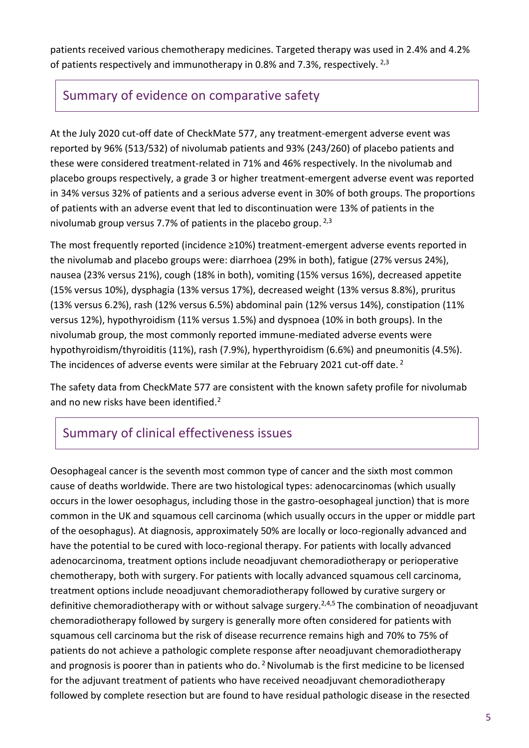patients received various chemotherapy medicines. Targeted therapy was used in 2.4% and 4.2% of patients respectively and immunotherapy in 0.8% and 7.3%, respectively.  $^{2,3}$ 

## Summary of evidence on comparative safety

At the July 2020 cut-off date of CheckMate 577, any treatment-emergent adverse event was reported by 96% (513/532) of nivolumab patients and 93% (243/260) of placebo patients and these were considered treatment-related in 71% and 46% respectively. In the nivolumab and placebo groups respectively, a grade 3 or higher treatment-emergent adverse event was reported in 34% versus 32% of patients and a serious adverse event in 30% of both groups. The proportions of patients with an adverse event that led to discontinuation were 13% of patients in the nivolumab group versus 7.7% of patients in the placebo group.<sup>2,3</sup>

The most frequently reported (incidence ≥10%) treatment-emergent adverse events reported in the nivolumab and placebo groups were: diarrhoea (29% in both), fatigue (27% versus 24%), nausea (23% versus 21%), cough (18% in both), vomiting (15% versus 16%), decreased appetite (15% versus 10%), dysphagia (13% versus 17%), decreased weight (13% versus 8.8%), pruritus (13% versus 6.2%), rash (12% versus 6.5%) abdominal pain (12% versus 14%), constipation (11% versus 12%), hypothyroidism (11% versus 1.5%) and dyspnoea (10% in both groups). In the nivolumab group, the most commonly reported immune-mediated adverse events were hypothyroidism/thyroiditis (11%), rash (7.9%), hyperthyroidism (6.6%) and pneumonitis (4.5%). The incidences of adverse events were similar at the February 2021 cut-off date.  $^2$ 

The safety data from CheckMate 577 are consistent with the known safety profile for nivolumab and no new risks have been identified.<sup>2</sup>

# Summary of clinical effectiveness issues

Oesophageal cancer is the seventh most common type of cancer and the sixth most common cause of deaths worldwide. There are two histological types: adenocarcinomas (which usually occurs in the lower oesophagus, including those in the gastro-oesophageal junction) that is more common in the UK and squamous cell carcinoma (which usually occurs in the upper or middle part of the oesophagus). At diagnosis, approximately 50% are locally or loco-regionally advanced and have the potential to be cured with loco-regional therapy. For patients with locally advanced adenocarcinoma, treatment options include neoadjuvant chemoradiotherapy or perioperative chemotherapy, both with surgery. For patients with locally advanced squamous cell carcinoma, treatment options include neoadjuvant chemoradiotherapy followed by curative surgery or definitive chemoradiotherapy with or without salvage surgery.<sup>2,4,5</sup> The combination of neoadjuvant chemoradiotherapy followed by surgery is generally more often considered for patients with squamous cell carcinoma but the risk of disease recurrence remains high and 70% to 75% of patients do not achieve a pathologic complete response after neoadjuvant chemoradiotherapy and prognosis is poorer than in patients who do.<sup>2</sup> Nivolumab is the first medicine to be licensed for the adjuvant treatment of patients who have received neoadjuvant chemoradiotherapy followed by complete resection but are found to have residual pathologic disease in the resected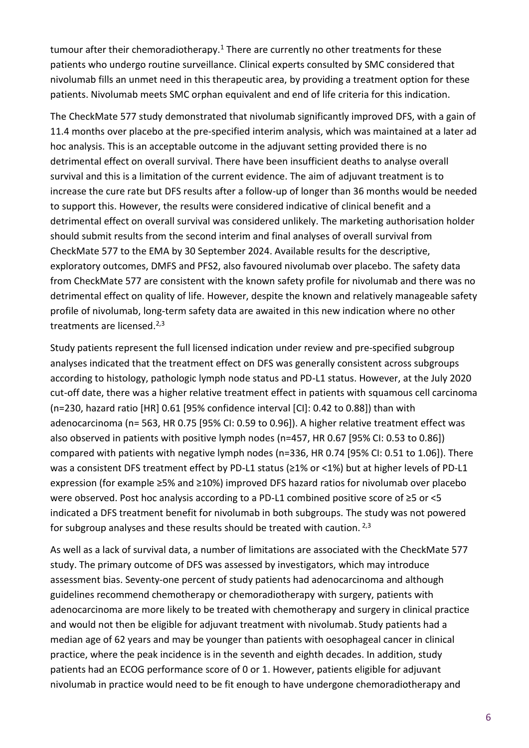tumour after their chemoradiotherapy.<sup>1</sup> There are currently no other treatments for these patients who undergo routine surveillance. Clinical experts consulted by SMC considered that nivolumab fills an unmet need in this therapeutic area, by providing a treatment option for these patients. Nivolumab meets SMC orphan equivalent and end of life criteria for this indication.

The CheckMate 577 study demonstrated that nivolumab significantly improved DFS, with a gain of 11.4 months over placebo at the pre-specified interim analysis, which was maintained at a later ad hoc analysis. This is an acceptable outcome in the adjuvant setting provided there is no detrimental effect on overall survival. There have been insufficient deaths to analyse overall survival and this is a limitation of the current evidence. The aim of adjuvant treatment is to increase the cure rate but DFS results after a follow-up of longer than 36 months would be needed to support this. However, the results were considered indicative of clinical benefit and a detrimental effect on overall survival was considered unlikely. The marketing authorisation holder should submit results from the second interim and final analyses of overall survival from CheckMate 577 to the EMA by 30 September 2024. Available results for the descriptive, exploratory outcomes, DMFS and PFS2, also favoured nivolumab over placebo. The safety data from CheckMate 577 are consistent with the known safety profile for nivolumab and there was no detrimental effect on quality of life. However, despite the known and relatively manageable safety profile of nivolumab, long-term safety data are awaited in this new indication where no other treatments are licensed.<sup>2,3</sup>

Study patients represent the full licensed indication under review and pre-specified subgroup analyses indicated that the treatment effect on DFS was generally consistent across subgroups according to histology, pathologic lymph node status and PD-L1 status. However, at the July 2020 cut-off date, there was a higher relative treatment effect in patients with squamous cell carcinoma (n=230, hazard ratio [HR] 0.61 [95% confidence interval [CI]: 0.42 to 0.88]) than with adenocarcinoma (n= 563, HR 0.75 [95% CI: 0.59 to 0.96]). A higher relative treatment effect was also observed in patients with positive lymph nodes (n=457, HR 0.67 [95% CI: 0.53 to 0.86]) compared with patients with negative lymph nodes (n=336, HR 0.74 [95% CI: 0.51 to 1.06]). There was a consistent DFS treatment effect by PD-L1 status (≥1% or <1%) but at higher levels of PD-L1 expression (for example ≥5% and ≥10%) improved DFS hazard ratios for nivolumab over placebo were observed. Post hoc analysis according to a PD-L1 combined positive score of ≥5 or <5 indicated a DFS treatment benefit for nivolumab in both subgroups. The study was not powered for subgroup analyses and these results should be treated with caution.  $2,3$ 

As well as a lack of survival data, a number of limitations are associated with the CheckMate 577 study. The primary outcome of DFS was assessed by investigators, which may introduce assessment bias. Seventy-one percent of study patients had adenocarcinoma and although guidelines recommend chemotherapy or chemoradiotherapy with surgery, patients with adenocarcinoma are more likely to be treated with chemotherapy and surgery in clinical practice and would not then be eligible for adjuvant treatment with nivolumab. Study patients had a median age of 62 years and may be younger than patients with oesophageal cancer in clinical practice, where the peak incidence is in the seventh and eighth decades. In addition, study patients had an ECOG performance score of 0 or 1. However, patients eligible for adjuvant nivolumab in practice would need to be fit enough to have undergone chemoradiotherapy and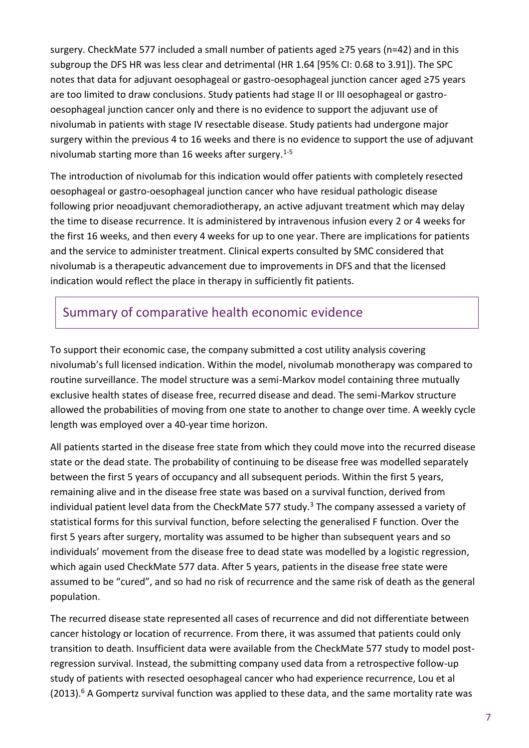surgery. CheckMate 577 included a small number of patients aged ≥75 years (n=42) and in this subgroup the DFS HR was less clear and detrimental (HR 1.64 [95% CI: 0.68 to 3.91]). The SPC notes that data for adjuvant oesophageal or gastro-oesophageal junction cancer aged ≥75 years are too limited to draw conclusions. Study patients had stage II or III oesophageal or gastrooesophageal junction cancer only and there is no evidence to support the adjuvant use of nivolumab in patients with stage IV resectable disease. Study patients had undergone major surgery within the previous 4 to 16 weeks and there is no evidence to support the use of adjuvant nivolumab starting more than 16 weeks after surgery.<sup>1-5</sup>

The introduction of nivolumab for this indication would offer patients with completely resected oesophageal or gastro-oesophageal junction cancer who have residual pathologic disease following prior neoadjuvant chemoradiotherapy, an active adjuvant treatment which may delay the time to disease recurrence. It is administered by intravenous infusion every 2 or 4 weeks for the first 16 weeks, and then every 4 weeks for up to one year. There are implications for patients and the service to administer treatment. Clinical experts consulted by SMC considered that nivolumab is a therapeutic advancement due to improvements in DFS and that the licensed indication would reflect the place in therapy in sufficiently fit patients.

### Summary of comparative health economic evidence

To support their economic case, the company submitted a cost utility analysis covering nivolumab's full licensed indication. Within the model, nivolumab monotherapy was compared to routine surveillance. The model structure was a semi-Markov model containing three mutually exclusive health states of disease free, recurred disease and dead. The semi-Markov structure allowed the probabilities of moving from one state to another to change over time. A weekly cycle length was employed over a 40-year time horizon.

All patients started in the disease free state from which they could move into the recurred disease state or the dead state. The probability of continuing to be disease free was modelled separately between the first 5 years of occupancy and all subsequent periods. Within the first 5 years, remaining alive and in the disease free state was based on a survival function, derived from individual patient level data from the CheckMate 577 study.<sup>3</sup> The company assessed a variety of statistical forms for this survival function, before selecting the generalised F function. Over the first 5 years after surgery, mortality was assumed to be higher than subsequent years and so individuals' movement from the disease free to dead state was modelled by a logistic regression, which again used CheckMate 577 data. After 5 years, patients in the disease free state were assumed to be "cured", and so had no risk of recurrence and the same risk of death as the general population.

The recurred disease state represented all cases of recurrence and did not differentiate between cancer histology or location of recurrence. From there, it was assumed that patients could only transition to death. Insufficient data were available from the CheckMate 577 study to model postregression survival. Instead, the submitting company used data from a retrospective follow-up study of patients with resected oesophageal cancer who had experience recurrence, Lou et al  $(2013).<sup>6</sup>$  A Gompertz survival function was applied to these data, and the same mortality rate was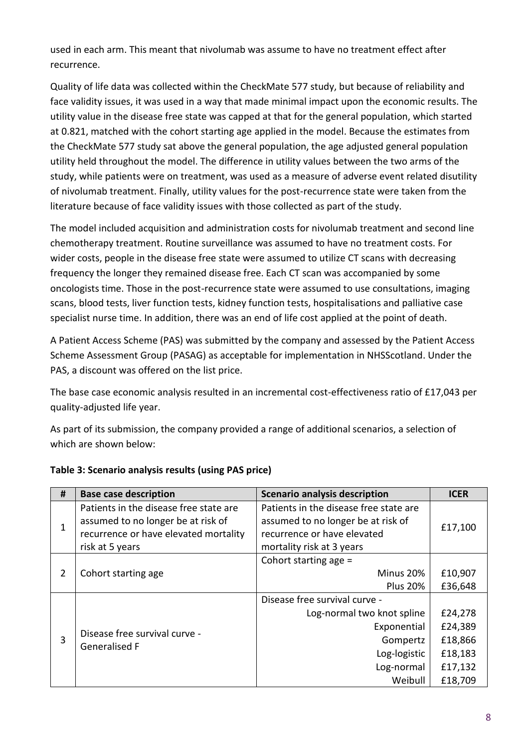used in each arm. This meant that nivolumab was assume to have no treatment effect after recurrence.

Quality of life data was collected within the CheckMate 577 study, but because of reliability and face validity issues, it was used in a way that made minimal impact upon the economic results. The utility value in the disease free state was capped at that for the general population, which started at 0.821, matched with the cohort starting age applied in the model. Because the estimates from the CheckMate 577 study sat above the general population, the age adjusted general population utility held throughout the model. The difference in utility values between the two arms of the study, while patients were on treatment, was used as a measure of adverse event related disutility of nivolumab treatment. Finally, utility values for the post-recurrence state were taken from the literature because of face validity issues with those collected as part of the study.

The model included acquisition and administration costs for nivolumab treatment and second line chemotherapy treatment. Routine surveillance was assumed to have no treatment costs. For wider costs, people in the disease free state were assumed to utilize CT scans with decreasing frequency the longer they remained disease free. Each CT scan was accompanied by some oncologists time. Those in the post-recurrence state were assumed to use consultations, imaging scans, blood tests, liver function tests, kidney function tests, hospitalisations and palliative case specialist nurse time. In addition, there was an end of life cost applied at the point of death.

A Patient Access Scheme (PAS) was submitted by the company and assessed by the Patient Access Scheme Assessment Group (PASAG) as acceptable for implementation in NHSScotland. Under the PAS, a discount was offered on the list price.

The base case economic analysis resulted in an incremental cost-effectiveness ratio of £17,043 per quality-adjusted life year.

As part of its submission, the company provided a range of additional scenarios, a selection of which are shown below:

| #              | <b>Base case description</b>                                                                                                             | <b>Scenario analysis description</b>                                                                                                     | <b>ICER</b>                                                    |
|----------------|------------------------------------------------------------------------------------------------------------------------------------------|------------------------------------------------------------------------------------------------------------------------------------------|----------------------------------------------------------------|
| 1              | Patients in the disease free state are<br>assumed to no longer be at risk of<br>recurrence or have elevated mortality<br>risk at 5 years | Patients in the disease free state are<br>assumed to no longer be at risk of<br>recurrence or have elevated<br>mortality risk at 3 years | £17,100                                                        |
| $\overline{2}$ | Cohort starting age                                                                                                                      | Cohort starting age $=$<br>Minus 20%<br><b>Plus 20%</b>                                                                                  | £10,907<br>£36,648                                             |
| 3              | Disease free survival curve -<br><b>Generalised F</b>                                                                                    | Disease free survival curve -<br>Log-normal two knot spline<br>Exponential<br>Gompertz<br>Log-logistic<br>Log-normal<br>Weibull          | £24,278<br>£24,389<br>£18,866<br>£18,183<br>£17,132<br>£18,709 |

#### **Table 3: Scenario analysis results (using PAS price)**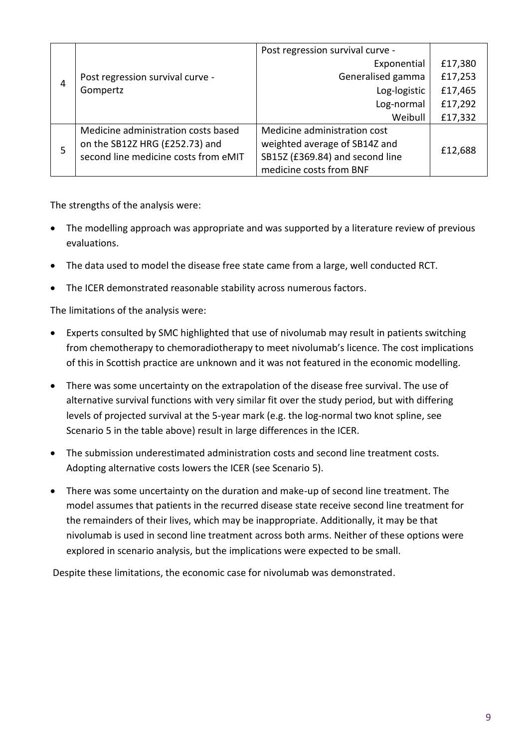|   |                                      | Post regression survival curve - |         |
|---|--------------------------------------|----------------------------------|---------|
| 4 |                                      | Exponential                      | £17,380 |
|   | Post regression survival curve -     | Generalised gamma                | £17,253 |
|   | Gompertz                             | Log-logistic                     | £17,465 |
|   |                                      | Log-normal                       | £17,292 |
|   |                                      | Weibull                          | £17,332 |
|   | Medicine administration costs based  | Medicine administration cost     |         |
| 5 | on the SB12Z HRG (£252.73) and       | weighted average of SB14Z and    | £12,688 |
|   | second line medicine costs from eMIT | SB15Z (£369.84) and second line  |         |
|   |                                      | medicine costs from BNF          |         |

The strengths of the analysis were:

- The modelling approach was appropriate and was supported by a literature review of previous evaluations.
- The data used to model the disease free state came from a large, well conducted RCT.
- The ICER demonstrated reasonable stability across numerous factors.

The limitations of the analysis were:

- Experts consulted by SMC highlighted that use of nivolumab may result in patients switching from chemotherapy to chemoradiotherapy to meet nivolumab's licence. The cost implications of this in Scottish practice are unknown and it was not featured in the economic modelling.
- There was some uncertainty on the extrapolation of the disease free survival. The use of alternative survival functions with very similar fit over the study period, but with differing levels of projected survival at the 5-year mark (e.g. the log-normal two knot spline, see Scenario 5 in the table above) result in large differences in the ICER.
- The submission underestimated administration costs and second line treatment costs. Adopting alternative costs lowers the ICER (see Scenario 5).
- There was some uncertainty on the duration and make-up of second line treatment. The model assumes that patients in the recurred disease state receive second line treatment for the remainders of their lives, which may be inappropriate. Additionally, it may be that nivolumab is used in second line treatment across both arms. Neither of these options were explored in scenario analysis, but the implications were expected to be small.

Despite these limitations, the economic case for nivolumab was demonstrated.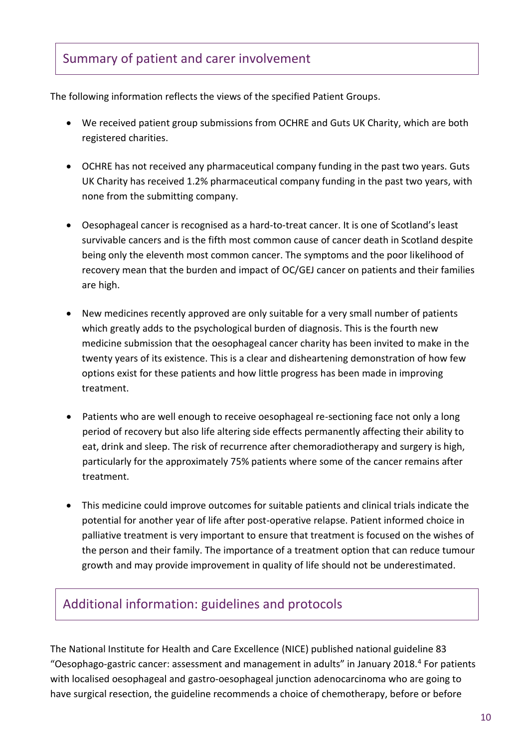### Summary of patient and carer involvement

The following information reflects the views of the specified Patient Groups.

- We received patient group submissions from OCHRE and Guts UK Charity, which are both registered charities.
- OCHRE has not received any pharmaceutical company funding in the past two years. Guts UK Charity has received 1.2% pharmaceutical company funding in the past two years, with none from the submitting company.
- Oesophageal cancer is recognised as a hard-to-treat cancer. It is one of Scotland's least survivable cancers and is the fifth most common cause of cancer death in Scotland despite being only the eleventh most common cancer. The symptoms and the poor likelihood of recovery mean that the burden and impact of OC/GEJ cancer on patients and their families are high.
- New medicines recently approved are only suitable for a very small number of patients which greatly adds to the psychological burden of diagnosis. This is the fourth new medicine submission that the oesophageal cancer charity has been invited to make in the twenty years of its existence. This is a clear and disheartening demonstration of how few options exist for these patients and how little progress has been made in improving treatment.
- Patients who are well enough to receive oesophageal re-sectioning face not only a long period of recovery but also life altering side effects permanently affecting their ability to eat, drink and sleep. The risk of recurrence after chemoradiotherapy and surgery is high, particularly for the approximately 75% patients where some of the cancer remains after treatment.
- This medicine could improve outcomes for suitable patients and clinical trials indicate the potential for another year of life after post-operative relapse. Patient informed choice in palliative treatment is very important to ensure that treatment is focused on the wishes of the person and their family. The importance of a treatment option that can reduce tumour growth and may provide improvement in quality of life should not be underestimated.

## Additional information: guidelines and protocols

The National Institute for Health and Care Excellence (NICE) published national guideline 83 "Oesophago-gastric cancer: assessment and management in adults" in January 2018.<sup>4</sup> For patients with localised oesophageal and gastro-oesophageal junction adenocarcinoma who are going to have surgical resection, the guideline recommends a choice of chemotherapy, before or before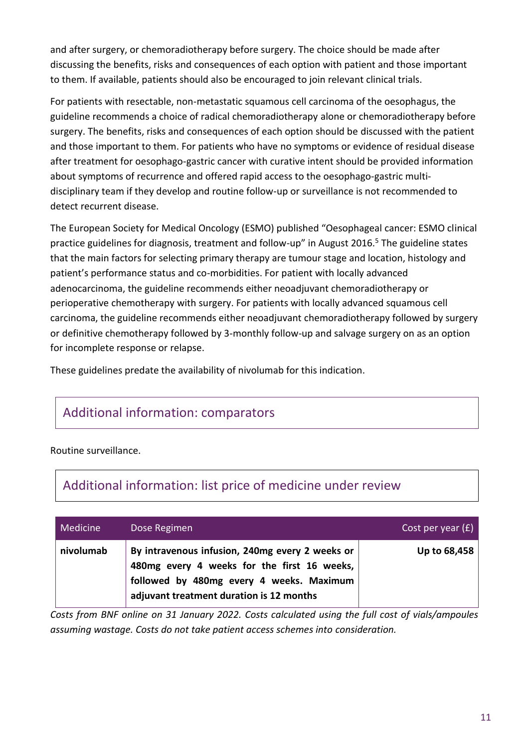and after surgery, or chemoradiotherapy before surgery. The choice should be made after discussing the benefits, risks and consequences of each option with patient and those important to them. If available, patients should also be encouraged to join relevant clinical trials.

For patients with resectable, non-metastatic squamous cell carcinoma of the oesophagus, the guideline recommends a choice of radical chemoradiotherapy alone or chemoradiotherapy before surgery. The benefits, risks and consequences of each option should be discussed with the patient and those important to them. For patients who have no symptoms or evidence of residual disease after treatment for oesophago-gastric cancer with curative intent should be provided information about symptoms of recurrence and offered rapid access to the oesophago-gastric multidisciplinary team if they develop and routine follow-up or surveillance is not recommended to detect recurrent disease.

The European Society for Medical Oncology (ESMO) published "Oesophageal cancer: ESMO clinical practice guidelines for diagnosis, treatment and follow-up" in August 2016.<sup>5</sup> The guideline states that the main factors for selecting primary therapy are tumour stage and location, histology and patient's performance status and co-morbidities. For patient with locally advanced adenocarcinoma, the guideline recommends either neoadjuvant chemoradiotherapy or perioperative chemotherapy with surgery. For patients with locally advanced squamous cell carcinoma, the guideline recommends either neoadjuvant chemoradiotherapy followed by surgery or definitive chemotherapy followed by 3-monthly follow-up and salvage surgery on as an option for incomplete response or relapse.

These guidelines predate the availability of nivolumab for this indication.

## Additional information: comparators

#### Routine surveillance.

#### Additional information: list price of medicine under review

| Medicine  | Dose Regimen                                                                                                                                                                           | Cost per year $(E)$ |
|-----------|----------------------------------------------------------------------------------------------------------------------------------------------------------------------------------------|---------------------|
| nivolumab | By intravenous infusion, 240mg every 2 weeks or<br>480mg every 4 weeks for the first 16 weeks,<br>followed by 480mg every 4 weeks. Maximum<br>adjuvant treatment duration is 12 months | Up to 68,458        |

*Costs from BNF online on 31 January 2022. Costs calculated using the full cost of vials/ampoules assuming wastage. Costs do not take patient access schemes into consideration.*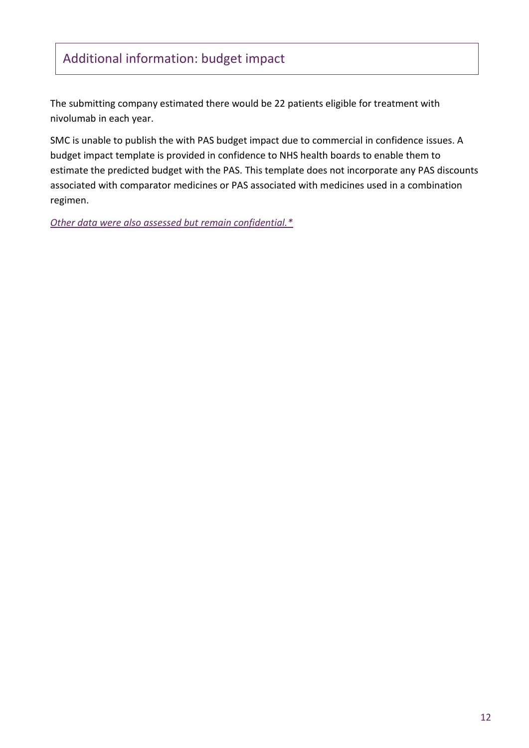# Additional information: budget impact

The submitting company estimated there would be 22 patients eligible for treatment with nivolumab in each year.

SMC is unable to publish the with PAS budget impact due to commercial in confidence issues. A budget impact template is provided in confidence to NHS health boards to enable them to estimate the predicted budget with the PAS. This template does not incorporate any PAS discounts associated with comparator medicines or PAS associated with medicines used in a combination regimen.

*[Other data were also assessed but remain confidential.\\*](https://www.scottishmedicines.org.uk/media/3572/20180710-release-of-company-data.pdf)*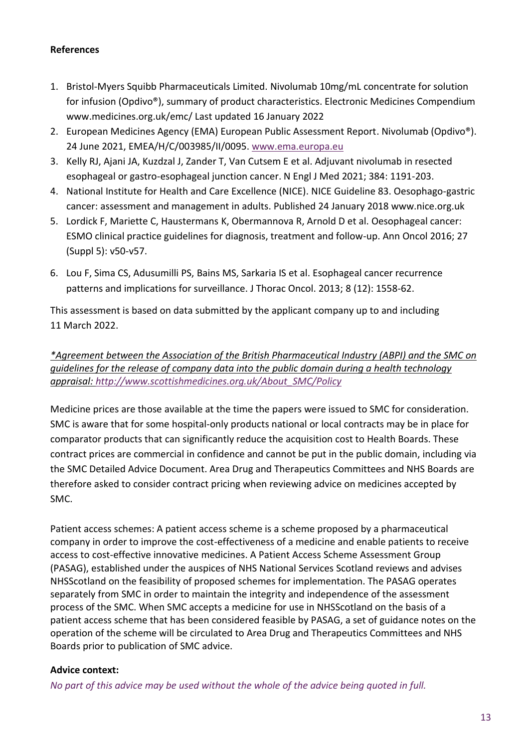#### **References**

- 1. Bristol-Myers Squibb Pharmaceuticals Limited. Nivolumab 10mg/mL concentrate for solution for infusion (Opdivo®), summary of product characteristics. Electronic Medicines Compendium www.medicines.org.uk/emc/ Last updated 16 January 2022
- 2. European Medicines Agency (EMA) European Public Assessment Report. Nivolumab (Opdivo®). 24 June 2021, EMEA/H/C/003985/II/0095. [www.ema.europa.eu](http://www.ema.europa.eu/)
- 3. Kelly RJ, Ajani JA, Kuzdzal J, Zander T, Van Cutsem E et al. Adjuvant nivolumab in resected esophageal or gastro-esophageal junction cancer. N Engl J Med 2021; 384: 1191-203.
- 4. National Institute for Health and Care Excellence (NICE). NICE Guideline 83. Oesophago-gastric cancer: assessment and management in adults. Published 24 January 2018 www.nice.org.uk
- 5. Lordick F, Mariette C, Haustermans K, Obermannova R, Arnold D et al. Oesophageal cancer: ESMO clinical practice guidelines for diagnosis, treatment and follow-up. Ann Oncol 2016; 27 (Suppl 5): v50-v57.
- 6. Lou F, Sima CS, Adusumilli PS, Bains MS, Sarkaria IS et al. Esophageal cancer recurrence patterns and implications for surveillance. J Thorac Oncol. 2013; 8 (12): 1558-62.

This assessment is based on data submitted by the applicant company up to and including 11 March 2022.

#### *\*Agreement between the Association of the British Pharmaceutical Industry (ABPI) and the SMC on guidelines for the release of company data into the public domain during a health technology appraisal: [http://www.scottishmedicines.org.uk/About\\_SMC/Policy](http://www.scottishmedicines.org.uk/About_SMC/Policy)*

Medicine prices are those available at the time the papers were issued to SMC for consideration. SMC is aware that for some hospital-only products national or local contracts may be in place for comparator products that can significantly reduce the acquisition cost to Health Boards. These contract prices are commercial in confidence and cannot be put in the public domain, including via the SMC Detailed Advice Document. Area Drug and Therapeutics Committees and NHS Boards are therefore asked to consider contract pricing when reviewing advice on medicines accepted by SMC.

Patient access schemes: A patient access scheme is a scheme proposed by a pharmaceutical company in order to improve the cost-effectiveness of a medicine and enable patients to receive access to cost-effective innovative medicines. A Patient Access Scheme Assessment Group (PASAG), established under the auspices of NHS National Services Scotland reviews and advises NHSScotland on the feasibility of proposed schemes for implementation. The PASAG operates separately from SMC in order to maintain the integrity and independence of the assessment process of the SMC. When SMC accepts a medicine for use in NHSScotland on the basis of a patient access scheme that has been considered feasible by PASAG, a set of guidance notes on the operation of the scheme will be circulated to Area Drug and Therapeutics Committees and NHS Boards prior to publication of SMC advice.

#### **Advice context:**

*No part of this advice may be used without the whole of the advice being quoted in full.*